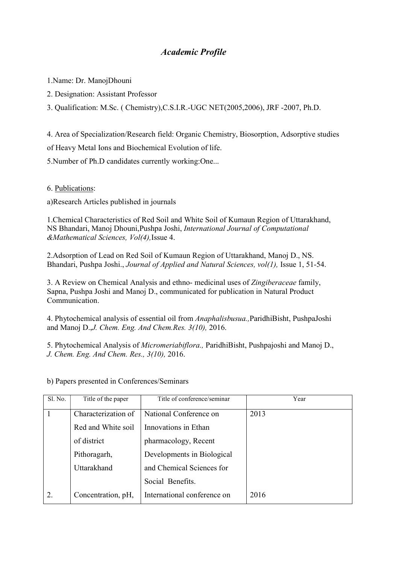## Academic Profile

1.Name: Dr. ManojDhouni

2. Designation: Assistant Professor

3. Qualification: M.Sc. ( Chemistry),C.S.I.R.-UGC NET(2005,2006), JRF -2007, Ph.D.

4. Area of Specialization/Research field: Organic Chemistry, Biosorption, Adsorptive studies

of Heavy Metal Ions and Biochemical Evolution of life.

5.Number of Ph.D candidates currently working:One...

6. Publications:

a)Research Articles published in journals

1.Chemical Characteristics of Red Soil and White Soil of Kumaun Region of Uttarakhand, NS Bhandari, Manoj Dhouni,Pushpa Joshi, International Journal of Computational &Mathematical Sciences, Vol(4),Issue 4.

2.Adsorption of Lead on Red Soil of Kumaun Region of Uttarakhand, Manoj D., NS. Bhandari, Pushpa Joshi., Journal of Applied and Natural Sciences, vol(1), Issue 1, 51-54.

3. A Review on Chemical Analysis and ethno- medicinal uses of Zingiberaceae family, Sapna, Pushpa Joshi and Manoj D., communicated for publication in Natural Product Communication.

4. Phytochemical analysis of essential oil from Anaphalisbusua.,ParidhiBisht, PushpaJoshi and Manoj D.,J. Chem. Eng. And Chem.Res. 3(10), 2016.

5. Phytochemical Analysis of Micromeriabiflora., ParidhiBisht, Pushpajoshi and Manoj D., J. Chem. Eng. And Chem. Res., 3(10), 2016.

| Sl. No. | Title of the paper  | Title of conference/seminar | Year |
|---------|---------------------|-----------------------------|------|
|         | Characterization of | National Conference on      | 2013 |
|         | Red and White soil  | Innovations in Ethan        |      |
|         | of district         | pharmacology, Recent        |      |
|         | Pithoragarh,        | Developments in Biological  |      |
|         | Uttarakhand         | and Chemical Sciences for   |      |
|         |                     | Social Benefits.            |      |
| 2.      | Concentration, pH,  | International conference on | 2016 |

b) Papers presented in Conferences/Seminars